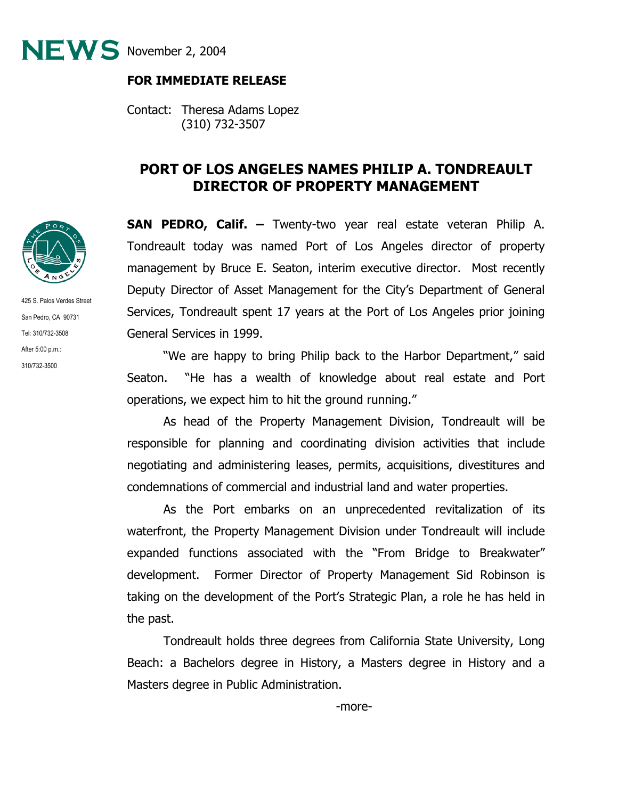NEWS November 2, 2004



425 S. Palos Verdes Street San Pedro, CA 90731 Tel: 310/732-3508 After 5:00 p.m.: 310/732-3500

## **FOR IMMEDIATE RELEASE**

Contact: Theresa Adams Lopez (310) 732-3507

## **PORT OF LOS ANGELES NAMES PHILIP A. TONDREAULT DIRECTOR OF PROPERTY MANAGEMENT**

**SAN PEDRO, Calif. –** Twenty-two year real estate veteran Philip A. Tondreault today was named Port of Los Angeles director of property management by Bruce E. Seaton, interim executive director. Most recently Deputy Director of Asset Management for the City's Department of General Services, Tondreault spent 17 years at the Port of Los Angeles prior joining General Services in 1999.

 "We are happy to bring Philip back to the Harbor Department," said Seaton. "He has a wealth of knowledge about real estate and Port operations, we expect him to hit the ground running."

As head of the Property Management Division, Tondreault will be responsible for planning and coordinating division activities that include negotiating and administering leases, permits, acquisitions, divestitures and condemnations of commercial and industrial land and water properties.

As the Port embarks on an unprecedented revitalization of its waterfront, the Property Management Division under Tondreault will include expanded functions associated with the "From Bridge to Breakwater" development. Former Director of Property Management Sid Robinson is taking on the development of the Port's Strategic Plan, a role he has held in the past.

Tondreault holds three degrees from California State University, Long Beach: a Bachelors degree in History, a Masters degree in History and a Masters degree in Public Administration.